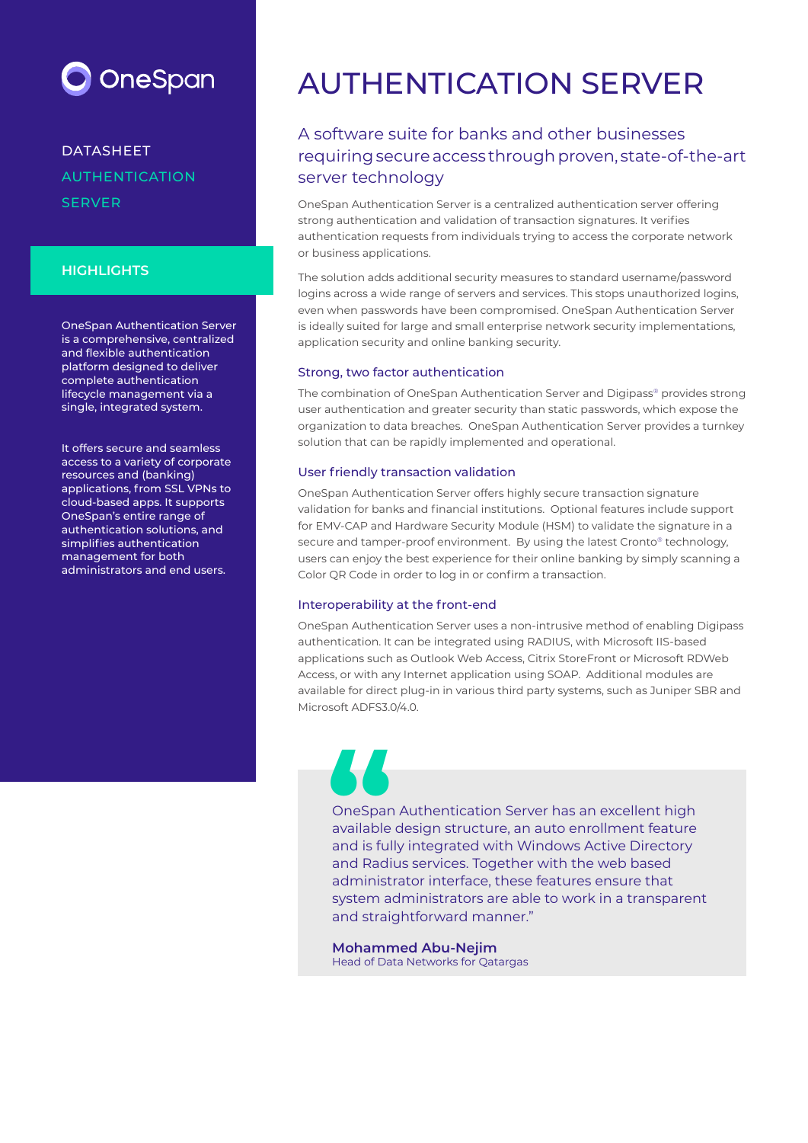

## DATASHEET AUTHENTICATION **SERVER**

## **HIGHLIGHTS**

OneSpan Authentication Server is a comprehensive, centralized and flexible authentication platform designed to deliver complete authentication lifecycle management via a single, integrated system.

It offers secure and seamless access to a variety of corporate resources and (banking) applications, from SSL VPNs to cloud-based apps. It supports OneSpan's entire range of authentication solutions, and simplifies authentication management for both administrators and end users.

# AUTHENTICATION SERVER

## A software suite for banks and other businesses requiring secure access through proven, state-of-the-art server technology

OneSpan Authentication Server is a centralized authentication server offering strong authentication and validation of transaction signatures. It verifies authentication requests from individuals trying to access the corporate network or business applications.

The solution adds additional security measures to standard username/password logins across a wide range of servers and services. This stops unauthorized logins, even when passwords have been compromised. OneSpan Authentication Server is ideally suited for large and small enterprise network security implementations, application security and online banking security.

### Strong, two factor authentication

The combination of OneSpan Authentication Server and Digipass® provides strong user authentication and greater security than static passwords, which expose the organization to data breaches. OneSpan Authentication Server provides a turnkey solution that can be rapidly implemented and operational.

### User friendly transaction validation

OneSpan Authentication Server offers highly secure transaction signature validation for banks and financial institutions. Optional features include support for EMV-CAP and Hardware Security Module (HSM) to validate the signature in a secure and tamper-proof environment. By using the latest Cronto® technology, users can enjoy the best experience for their online banking by simply scanning a Color QR Code in order to log in or confirm a transaction.

#### Interoperability at the front-end

OneSpan Authentication Server uses a non-intrusive method of enabling Digipass authentication. It can be integrated using RADIUS, with Microsoft IIS-based applications such as Outlook Web Access, Citrix StoreFront or Microsoft RDWeb Access, or with any Internet application using SOAP. Additional modules are available for direct plug-in in various third party systems, such as Juniper SBR and Microsoft ADFS3.0/4.0.

# OneSpan Authentication Server has an excellent high available design structure, an auto enrollment feature and is fully integrated with Windows Active Directory **Solution**<br> **ConeSparr**<br>
available<br>
and Radi

and Radius services. Together with the web based administrator interface, these features ensure that system administrators are able to work in a transparent and straightforward manner."

**Mohammed Abu-Nejim** Head of Data Networks for Qatargas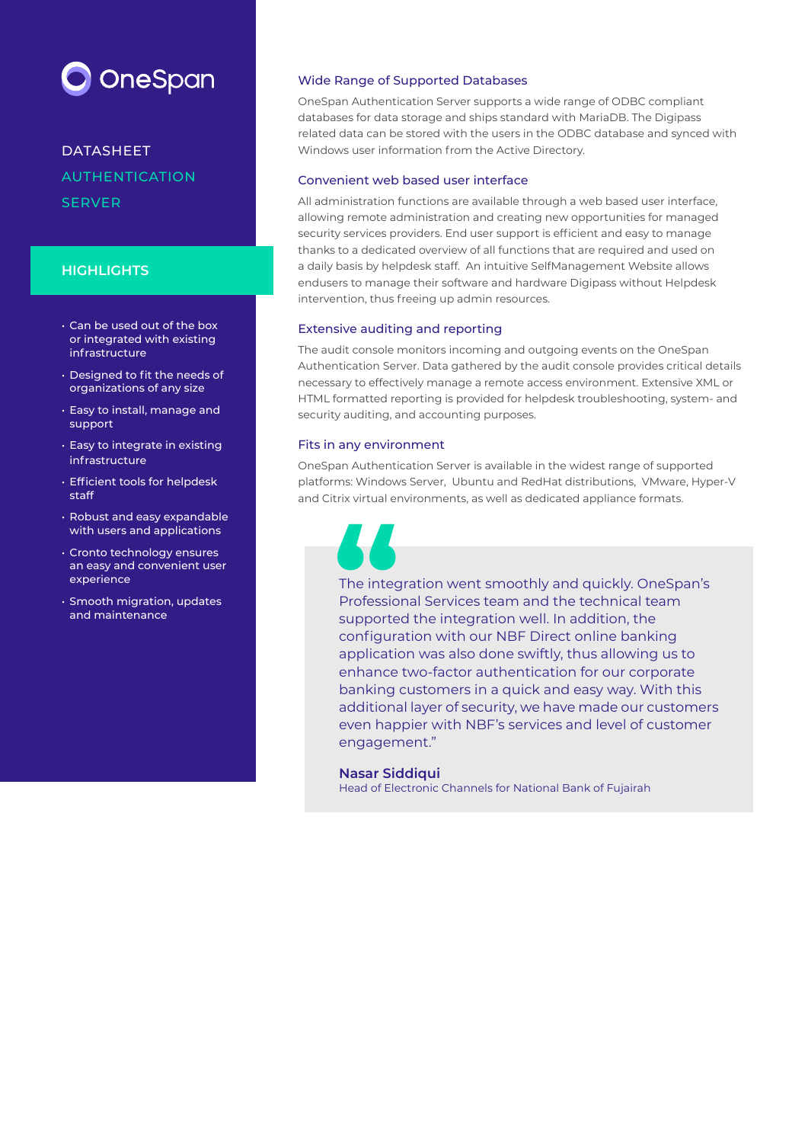

DATASHEET AUTHENTICATION SERVER

### **HIGHLIGHTS**

- Can be used out of the box or integrated with existing infrastructure
- Designed to fit the needs of organizations of any size
- Easy to install, manage and support
- Easy to integrate in existing infrastructure
- Efficient tools for helpdesk staff
- Robust and easy expandable with users and applications
- Cronto technology ensures an easy and convenient user experience
- Smooth migration, updates and maintenance

#### Wide Range of Supported Databases

OneSpan Authentication Server supports a wide range of ODBC compliant databases for data storage and ships standard with MariaDB. The Digipass related data can be stored with the users in the ODBC database and synced with Windows user information from the Active Directory.

#### Convenient web based user interface

All administration functions are available through a web based user interface, allowing remote administration and creating new opportunities for managed security services providers. End user support is efficient and easy to manage thanks to a dedicated overview of all functions that are required and used on a daily basis by helpdesk staff. An intuitive SelfManagement Website allows endusers to manage their software and hardware Digipass without Helpdesk intervention, thus freeing up admin resources.

#### Extensive auditing and reporting

The audit console monitors incoming and outgoing events on the OneSpan Authentication Server. Data gathered by the audit console provides critical details necessary to effectively manage a remote access environment. Extensive XML or HTML formatted reporting is provided for helpdesk troubleshooting, system- and security auditing, and accounting purposes.

#### Fits in any environment

OneSpan Authentication Server is available in the widest range of supported platforms: Windows Server, Ubuntu and RedHat distributions, VMware, Hyper-V and Citrix virtual environments, as well as dedicated appliance formats.

The integration went smoothly and quickly. OneSpan's Professional Services team and the technical team supported the integration well. In addition, the configuration with our NBF Direct online banking application was also done swiftly, thus allowing us to enhance two-factor authentication for our corporate banking customers in a quick and easy way. With this additional layer of security, we have made our customers even happier with NBF's services and level of customer engagement." The integrades of the integrades of the integrades of the integrades of the integral of the integral of the integral of the integral of the integral of the integral of the integral of the integral of the integral of the in

#### **Nasar Siddiqui**

Head of Electronic Channels for National Bank of Fujairah